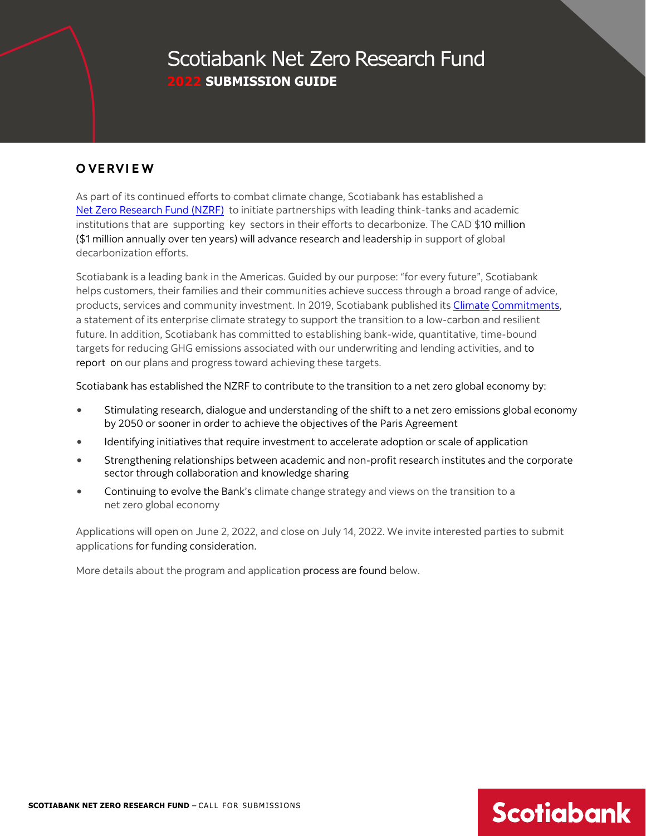## Scotiabank Net Zero Research Fund **2022 SUBMISSION GUIDE**

### **O VERVI E W**

As part of its continued efforts to combat climate change, Scotiabank has established a [Net Zero Research Fund \(NZRF\)](https://www.newswire.ca/news-releases/scotiabank-launches-net-zero-research-fund-to-boost-transition-to-a-low-carbon-economy-889881760.html) to initiate partnerships with leading think-tanks and academic institutions that are supporting key sectors in their efforts to decarbonize. The CAD \$10 million (\$1 million annually over ten years) will advance research and leadership in support of global decarbonization efforts.

Scotiabank is a leading bank in the Americas. Guided by our purpose: "for every future", Scotiabank helps customers, their families and their communities achieve success through a broad range of advic[e,](https://www.scotiabank.com/ca/en/about/responsibility-impact/climate-commitments.html) [products, services and community investment. In 2019, Scotiabank published its Climate](https://www.scotiabank.com/ca/en/about/responsibility-impact/climate-commitments.html) Commitments, [a statement of its enterprise climate strategy to support the transition to](https://www.scotiabank.com/ca/en/about/responsibility-impact/climate-commitments.html) a low-carbon and resilient future. In addition, Scotiabank has committed to establishing bank-wide, quantitative, time-bound targets for reducing GHG emissions associated with our underwriting and lending activities, and to report on our plans and progress toward achieving these targets.

Scotiabank has established the NZRF to contribute to the transition to a net zero global economy by:

- Stimulating research, dialogue and understanding of the shift to a net zero emissions global economy by 2050 or sooner in order to achieve the objectives of the Paris Agreement
- Identifying initiatives that require investment to accelerate adoption or scale of application
- Strengthening relationships between academic and non-profit research institutes and the corporate sector through collaboration and knowledge sharing
- Continuing to evolve the Bank's climate change strategy and views on the transition to a net zero global economy

Applications will open on June 2, 2022, and close on July 14, 2022. We invite interested parties to submit applications for funding consideration.

More details about the program and application process are found below.

# **SCOTIABANK NET ZERO RESEARCH FUND** – CALL FOR SUBMISSIONS **300 MILLION SCOTIONS**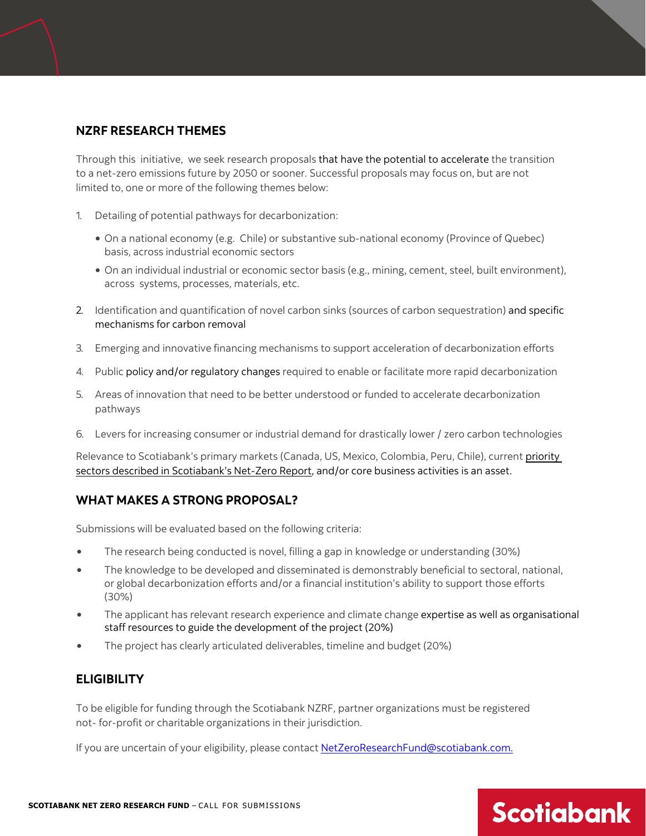#### **NZRF RESEARCH THEMES**

Through this initiative, we seek research proposals that have the potential to accelerate the transition to a net-zero emissions future by 2050 or sooner. Successful proposals may focus on, but are not limited to, one or more of the following themes below:

- 1. Detailing of potential pathways for decarbonization:
	- On a national economy (e.g. Chile) or substantive sub-national economy (Province of Quebec) basis, across industrial economic sectors
	- On an individual industrial or economic sector basis (e.g., mining, cement, steel, built environment), across systems, processes, materials, etc.
- 2. Identification and quantification of novel carbon sinks (sources of carbon sequestration) and specific mechanisms for carbon removal
- 3. Emerging and innovative financing mechanisms to support acceleration of decarbonization efforts
- 4. Public policy and/or regulatory changes required to enable or facilitate more rapid decarbonization
- 5. Areas of innovation that need to be better understood or funded to accelerate decarbonization pathways
- 6. Levers for increasing consumer or industrial demand for drastically lower / zero carbon technologies

Relevance to Scotiabank's primary markets (Canada, US, Mexico, Colombia, Peru, Chile), current [priority](https://www.scotiabank.com/content/dam/scotiabank/corporate/Documents/Scotiabank_Net_Zero_Report_2022-EN.pdf)  [sectors described in Scotiabank's Net-Zero Report,](https://www.scotiabank.com/content/dam/scotiabank/corporate/Documents/Scotiabank_Net_Zero_Report_2022-EN.pdf) and/or core business activities is an asset.

#### **WHAT MAKES A STRONG PROPOSAL?**

Submissions will be evaluated based on the following criteria:

- The research being conducted is novel, filling a gap in knowledge or understanding (30%)
- The knowledge to be developed and disseminated is demonstrably beneficial to sectoral, national, or global decarbonization efforts and/or a financial institution's ability to support those efforts (30%)
- The applicant has relevant research experience and climate change expertise as well as organisational staff resources to guide the development of the project (20%)
- The project has clearly articulated deliverables, timeline and budget (20%)

#### **ELIGIBILITY**

To be eligible for funding through the Scotiabank NZRF, partner organizations must be registered not- for-profit or charitable organizations in their jurisdiction.

If you are uncertain of your eligibility, please contac[t NetZeroResearchFund@scotiabank.com.](mailto:NetZeroResearchFund@scotiabank.com)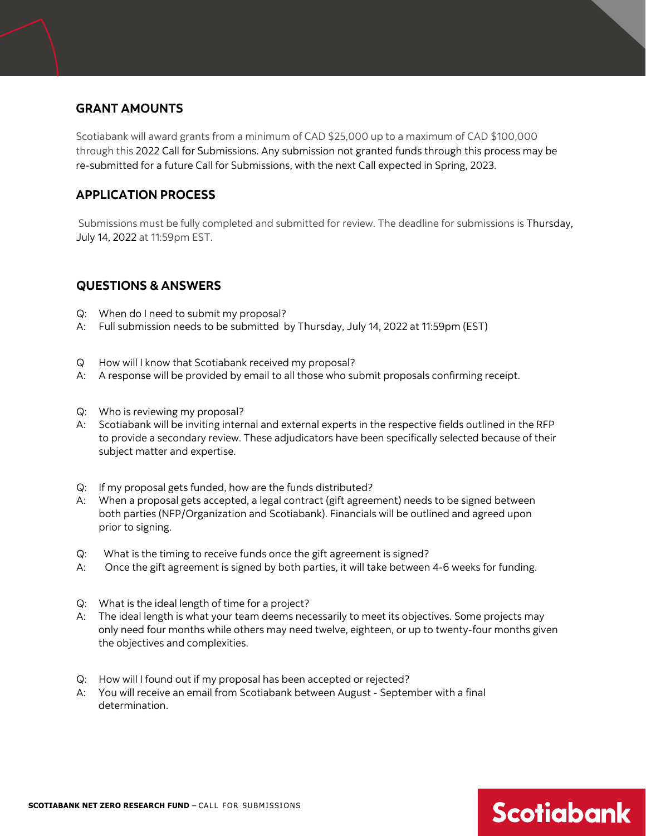#### **GRANT AMOUNTS**

Scotiabank will award grants from a minimum of CAD \$25,000 up to a maximum of CAD \$100,000 through this 2022 Call for Submissions. Any submission not granted funds through this process may be re-submitted for a future Call for Submissions, with the next Call expected in Spring, 2023.

### **APPLICATION PROCESS**

Submissions must be fully completed and submitted for review. The deadline for submissions is Thursday, July 14, 2022 at 11:59pm EST.

#### **QUESTIONS & ANSWERS**

- Q: When do I need to submit my proposal?
- A: Full submission needs to be submitted by Thursday, July 14, 2022 at 11:59pm (EST)
- Q How will I know that Scotiabank received my proposal?
- A: A response will be provided by email to all those who submit proposals confirming receipt.
- Q: Who is reviewing my proposal?
- A: Scotiabank will be inviting internal and external experts in the respective fields outlined in the RFP to provide a secondary review. These adjudicators have been specifically selected because of their subject matter and expertise.
- Q: If my proposal gets funded, how are the funds distributed?
- A: When a proposal gets accepted, a legal contract (gift agreement) needs to be signed between both parties (NFP/Organization and Scotiabank). Financials will be outlined and agreed upon prior to signing.
- Q: What is the timing to receive funds once the gift agreement is signed?
- A: Once the gift agreement is signed by both parties, it will take between 4-6 weeks for funding.
- Q: What is the ideal length of time for a project?
- A: The ideal length is what your team deems necessarily to meet its objectives. Some projects may only need four months while others may need twelve, eighteen, or up to twenty-four months given the objectives and complexities.
- Q: How will I found out if my proposal has been accepted or rejected?
- A: You will receive an email from Scotiabank between August September with a final determination.

# SCOTIABANK NET ZERO RESEARCH FUND – CALL FOR SUBMISSIONS **300 METROLER SCOTIGIOONIC**